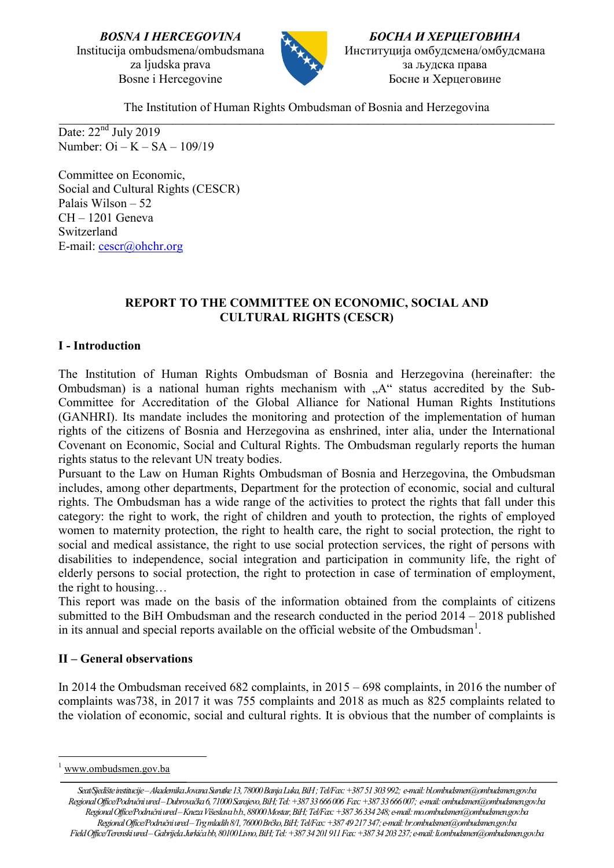*BOSNA I HERCEGOVINA* Institucija ombudsmena/ombudsmana za ljudska prava Bosne i Hercegovine



*БОСНА И ХЕРЦЕГОВИНА* Институција омбудсмена/омбудсмана за људска права Босне и Херцеговине

The Institution of Human Rights Ombudsman of Bosnia and Herzegovina

\_\_\_\_\_\_\_\_\_\_\_\_\_\_\_\_\_\_\_\_\_\_\_\_\_\_\_\_\_\_\_\_\_\_\_\_\_\_\_\_\_\_\_\_\_\_\_\_\_\_\_\_\_\_\_\_\_\_\_\_\_\_\_\_\_\_\_\_\_\_\_\_\_\_\_\_\_\_\_\_\_\_\_\_\_\_\_\_\_\_\_\_\_\_\_\_ Date:  $22<sup>nd</sup>$  July 2019 Number: Oi – K – SA – 109/19

Committee on Economic, Social and Cultural Rights (CESCR) Palais Wilson – 52 CH – 1201 Geneva Switzerland E-mail: [cescr@ohchr.org](mailto:cescr@ohchr.org)

# **REPORT TO THE COMMITTEE ON ECONOMIC, SOCIAL AND CULTURAL RIGHTS (CESCR)**

# **I - Introduction**

The Institution of Human Rights Ombudsman of Bosnia and Herzegovina (hereinafter: the Ombudsman) is a national human rights mechanism with  $A^{\prime\prime}$  status accredited by the Sub-Committee for Accreditation of the Global Alliance for National Human Rights Institutions (GANHRI). Its mandate includes the monitoring and protection of the implementation of human rights of the citizens of Bosnia and Herzegovina as enshrined, inter alia, under the International Covenant on Economic, Social and Cultural Rights. The Ombudsman regularly reports the human rights status to the relevant UN treaty bodies.

Pursuant to the Law on Human Rights Ombudsman of Bosnia and Herzegovina, the Ombudsman includes, among other departments, Department for the protection of economic, social and cultural rights. The Ombudsman has a wide range of the activities to protect the rights that fall under this category: the right to work, the right of children and youth to protection, the rights of employed women to maternity protection, the right to health care, the right to social protection, the right to social and medical assistance, the right to use social protection services, the right of persons with disabilities to independence, social integration and participation in community life, the right of elderly persons to social protection, the right to protection in case of termination of employment, the right to housing…

This report was made on the basis of the information obtained from the complaints of citizens submitted to the BiH Ombudsman and the research conducted in the period 2014 – 2018 published in its annual and special reports available on the official website of the Ombudsman<sup>[1](#page-0-0)</sup>.

# **II – General observations**

In 2014 the Ombudsman received 682 complaints, in 2015 – 698 complaints, in 2016 the number of complaints was738, in 2017 it was 755 complaints and 2018 as much as 825 complaints related to the violation of economic, social and cultural rights. It is obvious that the number of complaints is

<span id="page-0-0"></span>[www.ombudsmen.gov.ba](http://www.ombudsmen.gov.ba/)

*Seat/Sjedište institucije –Akademika Jovana Surutke 13, 78000 Banja Luka, BiH ; Tel/Fax: +387 51 303 992; e-mail: bl.ombudsmen@ombudsmen.gov.ba Regional Office/Područni ured –Dubrovačka6, 71000 Sarajevo,BiH;Tel: +387 33 666 006 Fax: +387 33 666 007; e-mail: ombudsmen@ombudsmen.gov.ba Regional Office/Područni ured –Kneza Višeslava b.b., 88000 Mostar,BiH;Tel/Fax: +387 36 334 248;e-mail: mo.ombudsmen@ombudsmen.gov.ba Regional Office/Područni ured –Trg mladih 8/1, 76000 Brčko, BiH; Tel/Fax: +387 49 217347; e-mail: br.ombudsmen@ombudsmen.gov.ba Field Office/Terenski ured –Gabrijela Jurkića bb, 80100 Livno,BiH;Tel: +387 34 201 911 Fax: +387 34 203 237; e-mail: li.ombudsmen@ombudsmen.gov.ba*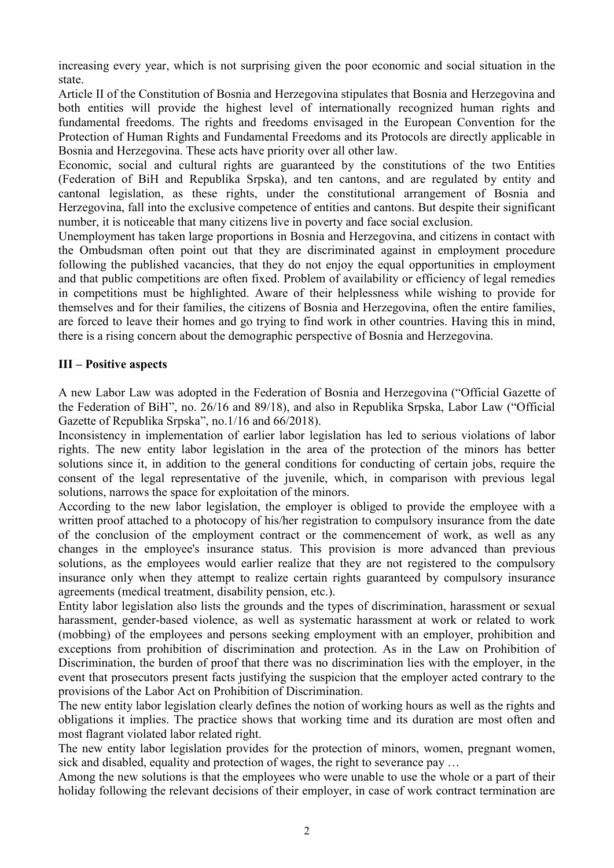increasing every year, which is not surprising given the poor economic and social situation in the state.

Article II of the Constitution of Bosnia and Herzegovina stipulates that Bosnia and Herzegovina and both entities will provide the highest level of internationally recognized human rights and fundamental freedoms. The rights and freedoms envisaged in the European Convention for the Protection of Human Rights and Fundamental Freedoms and its Protocols are directly applicable in Bosnia and Herzegovina. These acts have priority over all other law.

Economic, social and cultural rights are guaranteed by the constitutions of the two Entities (Federation of BiH and Republika Srpska), and ten cantons, and are regulated by entity and cantonal legislation, as these rights, under the constitutional arrangement of Bosnia and Herzegovina, fall into the exclusive competence of entities and cantons. But despite their significant number, it is noticeable that many citizens live in poverty and face social exclusion.

Unemployment has taken large proportions in Bosnia and Herzegovina, and citizens in contact with the Ombudsman often point out that they are discriminated against in employment procedure following the published vacancies, that they do not enjoy the equal opportunities in employment and that public competitions are often fixed. Problem of availability or efficiency of legal remedies in competitions must be highlighted. Aware of their helplessness while wishing to provide for themselves and for their families, the citizens of Bosnia and Herzegovina, often the entire families, are forced to leave their homes and go trying to find work in other countries. Having this in mind, there is a rising concern about the demographic perspective of Bosnia and Herzegovina.

## **III – Positive aspects**

A new Labor Law was adopted in the Federation of Bosnia and Herzegovina ("Official Gazette of the Federation of BiH", no. 26/16 and 89/18), and also in Republika Srpska, Labor Law ("Official Gazette of Republika Srpska", no.1/16 and 66/2018).

Inconsistency in implementation of earlier labor legislation has led to serious violations of labor rights. The new entity labor legislation in the area of the protection of the minors has better solutions since it, in addition to the general conditions for conducting of certain jobs, require the consent of the legal representative of the juvenile, which, in comparison with previous legal solutions, narrows the space for exploitation of the minors.

According to the new labor legislation, the employer is obliged to provide the employee with a written proof attached to a photocopy of his/her registration to compulsory insurance from the date of the conclusion of the employment contract or the commencement of work, as well as any changes in the employee's insurance status. This provision is more advanced than previous solutions, as the employees would earlier realize that they are not registered to the compulsory insurance only when they attempt to realize certain rights guaranteed by compulsory insurance agreements (medical treatment, disability pension, etc.).

Entity labor legislation also lists the grounds and the types of discrimination, harassment or sexual harassment, gender-based violence, as well as systematic harassment at work or related to work (mobbing) of the employees and persons seeking employment with an employer, prohibition and exceptions from prohibition of discrimination and protection. As in the Law on Prohibition of Discrimination, the burden of proof that there was no discrimination lies with the employer, in the event that prosecutors present facts justifying the suspicion that the employer acted contrary to the provisions of the Labor Act on Prohibition of Discrimination.

The new entity labor legislation clearly defines the notion of working hours as well as the rights and obligations it implies. The practice shows that working time and its duration are most often and most flagrant violated labor related right.

The new entity labor legislation provides for the protection of minors, women, pregnant women, sick and disabled, equality and protection of wages, the right to severance pay …

Among the new solutions is that the employees who were unable to use the whole or a part of their holiday following the relevant decisions of their employer, in case of work contract termination are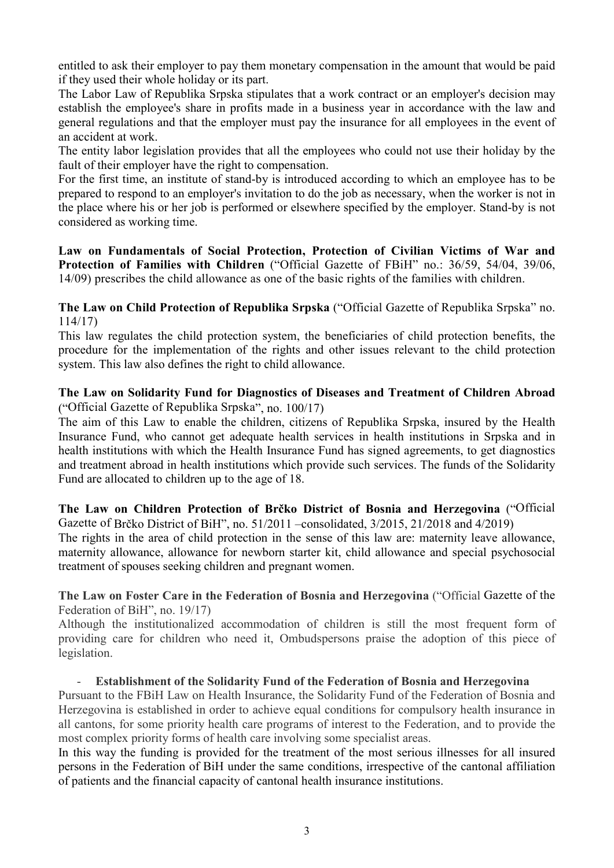entitled to ask their employer to pay them monetary compensation in the amount that would be paid if they used their whole holiday or its part.

The Labor Law of Republika Srpska stipulates that a work contract or an employer's decision may establish the employee's share in profits made in a business year in accordance with the law and general regulations and that the employer must pay the insurance for all employees in the event of an accident at work.

The entity labor legislation provides that all the employees who could not use their holiday by the fault of their employer have the right to compensation.

For the first time, an institute of stand-by is introduced according to which an employee has to be prepared to respond to an employer's invitation to do the job as necessary, when the worker is not in the place where his or her job is performed or elsewhere specified by the employer. Stand-by is not considered as working time.

**Law on Fundamentals of Social Protection, Protection of Civilian Victims of War and Protection of Families with Children** ("Official Gazette of FBiH" no.: 36/59, 54/04, 39/06, 14/09) prescribes the child allowance as one of the basic rights of the families with children.

**The Law on Child Protection of Republika Srpska** ("Official Gazette of Republika Srpska" no. 114/17)

This law regulates the child protection system, the beneficiaries of child protection benefits, the procedure for the implementation of the rights and other issues relevant to the child protection system. This law also defines the right to child allowance.

# **The Law on Solidarity Fund for Diagnostics of Diseases and Treatment of Children Abroad**  ("Official Gazette of Republika Srpska", no. 100/17)

The aim of this Law to enable the children, citizens of Republika Srpska, insured by the Health Insurance Fund, who cannot get adequate health services in health institutions in Srpska and in health institutions with which the Health Insurance Fund has signed agreements, to get diagnostics and treatment abroad in health institutions which provide such services. The funds of the Solidarity Fund are allocated to children up to the age of 18.

### **The Law on Children Protection of Brčko District of Bosnia and Herzegovina** ("Official Gazette of Brčko District of BiH", no. 51/2011 –consolidated, 3/2015, 21/2018 and 4/2019)

The rights in the area of child protection in the sense of this law are: maternity leave allowance, maternity allowance, allowance for newborn starter kit, child allowance and special psychosocial treatment of spouses seeking children and pregnant women.

**The Law on Foster Care in the Federation of Bosnia and Herzegovina** ("Official Gazette of the Federation of BiH", no. 19/17)

Although the institutionalized accommodation of children is still the most frequent form of providing care for children who need it, Ombudspersons praise the adoption of this piece of legislation.

# - **Establishment of the Solidarity Fund of the Federation of Bosnia and Herzegovina**

Pursuant to the FBiH Law on Health Insurance, the Solidarity Fund of the Federation of Bosnia and Herzegovina is established in order to achieve equal conditions for compulsory health insurance in all cantons, for some priority health care programs of interest to the Federation, and to provide the most complex priority forms of health care involving some specialist areas.

In this way the funding is provided for the treatment of the most serious illnesses for all insured persons in the Federation of BiH under the same conditions, irrespective of the cantonal affiliation of patients and the financial capacity of cantonal health insurance institutions.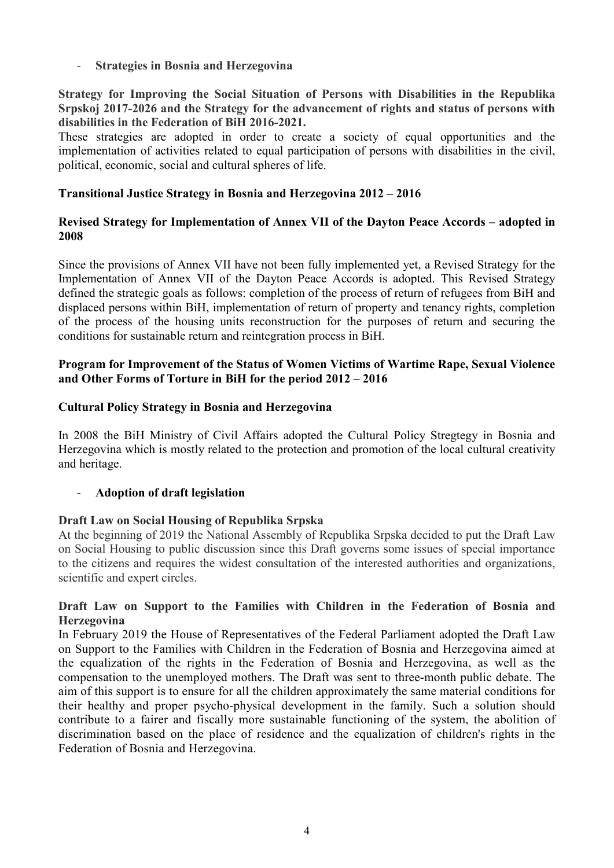- **Strategies in Bosnia and Herzegovina** 

**Strategy for Improving the Social Situation of Persons with Disabilities in the Republika Srpskoj 2017-2026 and the Strategy for the advancement of rights and status of persons with disabilities in the Federation of BiH 2016-2021.**

These strategies are adopted in order to create a society of equal opportunities and the implementation of activities related to equal participation of persons with disabilities in the civil, political, economic, social and cultural spheres of life.

# **Transitional Justice Strategy in Bosnia and Herzegovina 2012 – 2016**

### **Revised Strategy for Implementation of Annex VII of the Dayton Peace Accords – adopted in 2008**

Since the provisions of Annex VII have not been fully implemented yet, a Revised Strategy for the Implementation of Annex VII of the Dayton Peace Accords is adopted. This Revised Strategy defined the strategic goals as follows: completion of the process of return of refugees from BiH and displaced persons within BiH, implementation of return of property and tenancy rights, completion of the process of the housing units reconstruction for the purposes of return and securing the conditions for sustainable return and reintegration process in BiH.

## **Program for Improvement of the Status of Women Victims of Wartime Rape, Sexual Violence and Other Forms of Torture in BiH for the period 2012 – 2016**

### **Cultural Policy Strategy in Bosnia and Herzegovina**

In 2008 the BiH Ministry of Civil Affairs adopted the Cultural Policy Stregtegy in Bosnia and Herzegovina which is mostly related to the protection and promotion of the local cultural creativity and heritage.

# - **Adoption of draft legislation**

### **Draft Law on Social Housing of Republika Srpska**

At the beginning of 2019 the National Assembly of Republika Srpska decided to put the Draft Law on Social Housing to public discussion since this Draft governs some issues of special importance to the citizens and requires the widest consultation of the interested authorities and organizations, scientific and expert circles.

## **Draft Law on Support to the Families with Children in the Federation of Bosnia and Herzegovina**

In February 2019 the House of Representatives of the Federal Parliament adopted the Draft Law on Support to the Families with Children in the Federation of Bosnia and Herzegovina aimed at the equalization of the rights in the Federation of Bosnia and Herzegovina, as well as the compensation to the unemployed mothers. The Draft was sent to three-month public debate. The aim of this support is to ensure for all the children approximately the same material conditions for their healthy and proper psycho-physical development in the family. Such a solution should contribute to a fairer and fiscally more sustainable functioning of the system, the abolition of discrimination based on the place of residence and the equalization of children's rights in the Federation of Bosnia and Herzegovina.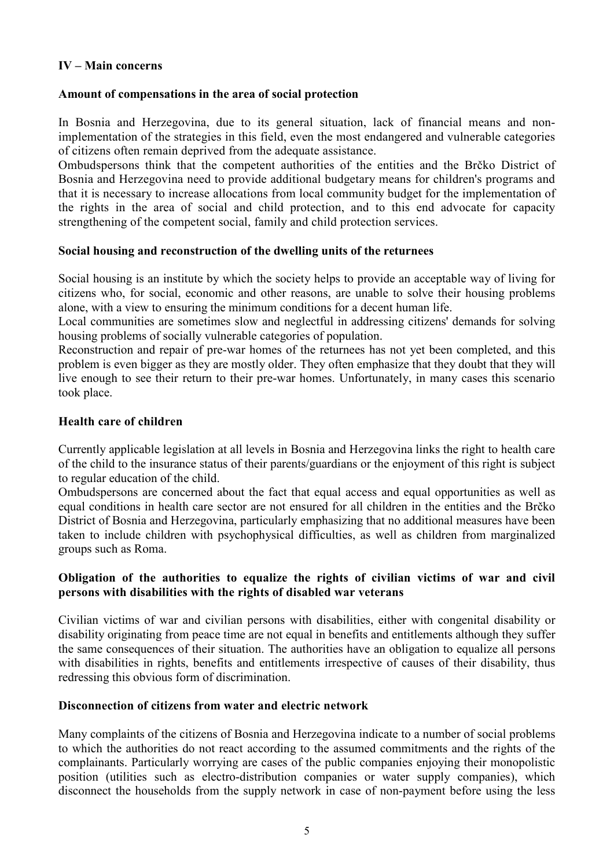# **IV – Main concerns**

# **Amount of compensations in the area of social protection**

In Bosnia and Herzegovina, due to its general situation, lack of financial means and nonimplementation of the strategies in this field, even the most endangered and vulnerable categories of citizens often remain deprived from the adequate assistance.

Ombudspersons think that the competent authorities of the entities and the Brčko District of Bosnia and Herzegovina need to provide additional budgetary means for children's programs and that it is necessary to increase allocations from local community budget for the implementation of the rights in the area of social and child protection, and to this end advocate for capacity strengthening of the competent social, family and child protection services.

## **Social housing and reconstruction of the dwelling units of the returnees**

Social housing is an institute by which the society helps to provide an acceptable way of living for citizens who, for social, economic and other reasons, are unable to solve their housing problems alone, with a view to ensuring the minimum conditions for a decent human life.

Local communities are sometimes slow and neglectful in addressing citizens' demands for solving housing problems of socially vulnerable categories of population.

Reconstruction and repair of pre-war homes of the returnees has not yet been completed, and this problem is even bigger as they are mostly older. They often emphasize that they doubt that they will live enough to see their return to their pre-war homes. Unfortunately, in many cases this scenario took place.

## **Health care of children**

Currently applicable legislation at all levels in Bosnia and Herzegovina links the right to health care of the child to the insurance status of their parents/guardians or the enjoyment of this right is subject to regular education of the child.

Ombudspersons are concerned about the fact that equal access and equal opportunities as well as equal conditions in health care sector are not ensured for all children in the entities and the Brčko District of Bosnia and Herzegovina, particularly emphasizing that no additional measures have been taken to include children with psychophysical difficulties, as well as children from marginalized groups such as Roma.

## **Obligation of the authorities to equalize the rights of civilian victims of war and civil persons with disabilities with the rights of disabled war veterans**

Civilian victims of war and civilian persons with disabilities, either with congenital disability or disability originating from peace time are not equal in benefits and entitlements although they suffer the same consequences of their situation. The authorities have an obligation to equalize all persons with disabilities in rights, benefits and entitlements irrespective of causes of their disability, thus redressing this obvious form of discrimination.

### **Disconnection of citizens from water and electric network**

Many complaints of the citizens of Bosnia and Herzegovina indicate to a number of social problems to which the authorities do not react according to the assumed commitments and the rights of the complainants. Particularly worrying are cases of the public companies enjoying their monopolistic position (utilities such as electro-distribution companies or water supply companies), which disconnect the households from the supply network in case of non-payment before using the less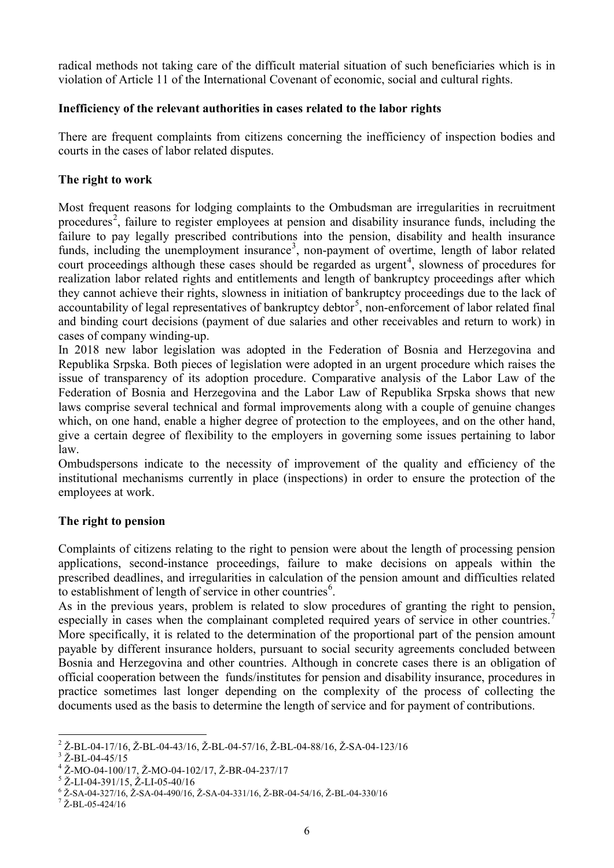radical methods not taking care of the difficult material situation of such beneficiaries which is in violation of Article 11 of the International Covenant of economic, social and cultural rights.

# **Inefficiency of the relevant authorities in cases related to the labor rights**

There are frequent complaints from citizens concerning the inefficiency of inspection bodies and courts in the cases of labor related disputes.

## **The right to work**

Most frequent reasons for lodging complaints to the Ombudsman are irregularities in recruitment procedures<sup>[2](#page-5-0)</sup>, failure to register employees at pension and disability insurance funds, including the failure to pay legally prescribed contributions into the pension, disability and health insurance funds, including the unemployment insurance<sup>[3](#page-5-1)</sup>, non-payment of overtime, length of labor related court proceedings although these cases should be regarded as urgent<sup>[4](#page-5-2)</sup>, slowness of procedures for realization labor related rights and entitlements and length of bankruptcy proceedings after which they cannot achieve their rights, slowness in initiation of bankruptcy proceedings due to the lack of accountability of legal representatives of bankruptcy debtor<sup>[5](#page-5-3)</sup>, non-enforcement of labor related final and binding court decisions (payment of due salaries and other receivables and return to work) in cases of company winding-up.

In 2018 new labor legislation was adopted in the Federation of Bosnia and Herzegovina and Republika Srpska. Both pieces of legislation were adopted in an urgent procedure which raises the issue of transparency of its adoption procedure. Comparative analysis of the Labor Law of the Federation of Bosnia and Herzegovina and the Labor Law of Republika Srpska shows that new laws comprise several technical and formal improvements along with a couple of genuine changes which, on one hand, enable a higher degree of protection to the employees, and on the other hand, give a certain degree of flexibility to the employers in governing some issues pertaining to labor law.

Ombudspersons indicate to the necessity of improvement of the quality and efficiency of the institutional mechanisms currently in place (inspections) in order to ensure the protection of the employees at work.

### **The right to pension**

Complaints of citizens relating to the right to pension were about the length of processing pension applications, second-instance proceedings, failure to make decisions on appeals within the prescribed deadlines, and irregularities in calculation of the pension amount and difficulties related to establishment of length of service in other countries<sup>[6](#page-5-4)</sup>.

As in the previous years, problem is related to slow procedures of granting the right to pension, especially in cases when the complainant completed required years of service in other countries.<sup>[7](#page-5-5)</sup> More specifically, it is related to the determination of the proportional part of the pension amount payable by different insurance holders, pursuant to social security agreements concluded between Bosnia and Herzegovina and other countries. Although in concrete cases there is an obligation of official cooperation between the funds/institutes for pension and disability insurance, procedures in practice sometimes last longer depending on the complexity of the process of collecting the documents used as the basis to determine the length of service and for payment of contributions.

<span id="page-5-0"></span><sup>&</sup>lt;sup>2</sup> Ž-BL-04-17/16, Ž-BL-04-43/16, Ž-BL-04-57/16, Ž-BL-04-88/16, Ž-SA-04-123/16<br>
<sup>3</sup> Ž-BL-04-45/15<br>
<sup>4</sup> Ž-MO-04-100/17, Ž-MO-04-102/17, Ž-BR-04-237/17<br>
<sup>5</sup> Ž-LI-04-391/15, Ž-LI-05-40/16<br>
<sup>6</sup> Ž-SA-04-327/16, Ž-SA-04-490/16,

<span id="page-5-1"></span>

<span id="page-5-2"></span>

<span id="page-5-3"></span>

<span id="page-5-4"></span>

<span id="page-5-5"></span>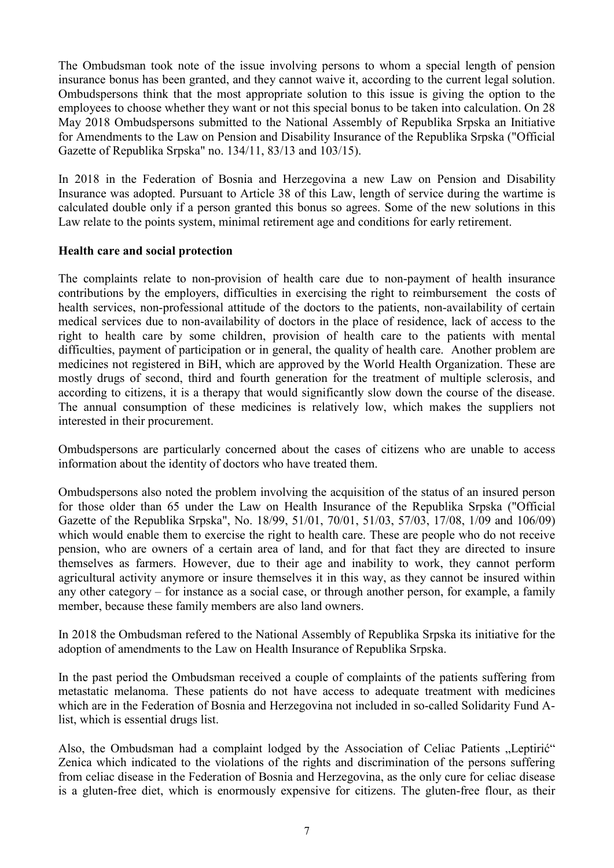The Ombudsman took note of the issue involving persons to whom a special length of pension insurance bonus has been granted, and they cannot waive it, according to the current legal solution. Ombudspersons think that the most appropriate solution to this issue is giving the option to the employees to choose whether they want or not this special bonus to be taken into calculation. On 28 May 2018 Ombudspersons submitted to the National Assembly of Republika Srpska an Initiative for Amendments to the Law on Pension and Disability Insurance of the Republika Srpska ("Official Gazette of Republika Srpska" no. 134/11, 83/13 and 103/15).

In 2018 in the Federation of Bosnia and Herzegovina a new Law on Pension and Disability Insurance was adopted. Pursuant to Article 38 of this Law, length of service during the wartime is calculated double only if a person granted this bonus so agrees. Some of the new solutions in this Law relate to the points system, minimal retirement age and conditions for early retirement.

# **Health care and social protection**

The complaints relate to non-provision of health care due to non-payment of health insurance contributions by the employers, difficulties in exercising the right to reimbursement the costs of health services, non-professional attitude of the doctors to the patients, non-availability of certain medical services due to non-availability of doctors in the place of residence, lack of access to the right to health care by some children, provision of health care to the patients with mental difficulties, payment of participation or in general, the quality of health care. Another problem are medicines not registered in BiH, which are approved by the World Health Organization. These are mostly drugs of second, third and fourth generation for the treatment of multiple sclerosis, and according to citizens, it is a therapy that would significantly slow down the course of the disease. The annual consumption of these medicines is relatively low, which makes the suppliers not interested in their procurement.

Ombudspersons are particularly concerned about the cases of citizens who are unable to access information about the identity of doctors who have treated them.

Ombudspersons also noted the problem involving the acquisition of the status of an insured person for those older than 65 under the Law on Health Insurance of the Republika Srpska ("Official Gazette of the Republika Srpska", No. 18/99, 51/01, 70/01, 51/03, 57/03, 17/08, 1/09 and 106/09) which would enable them to exercise the right to health care. These are people who do not receive pension, who are owners of a certain area of land, and for that fact they are directed to insure themselves as farmers. However, due to their age and inability to work, they cannot perform agricultural activity anymore or insure themselves it in this way, as they cannot be insured within any other category – for instance as a social case, or through another person, for example, a family member, because these family members are also land owners.

In 2018 the Ombudsman refered to the National Assembly of Republika Srpska its initiative for the adoption of amendments to the Law on Health Insurance of Republika Srpska.

In the past period the Ombudsman received a couple of complaints of the patients suffering from metastatic melanoma. These patients do not have access to adequate treatment with medicines which are in the Federation of Bosnia and Herzegovina not included in so-called Solidarity Fund Alist, which is essential drugs list.

Also, the Ombudsman had a complaint lodged by the Association of Celiac Patients "Leptirić" Zenica which indicated to the violations of the rights and discrimination of the persons suffering from celiac disease in the Federation of Bosnia and Herzegovina, as the only cure for celiac disease is a gluten-free diet, which is enormously expensive for citizens. The gluten-free flour, as their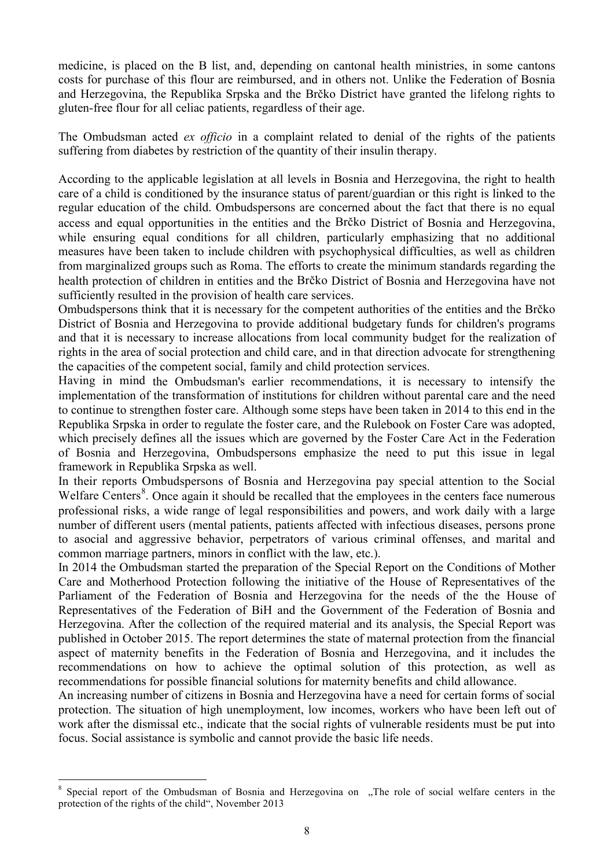medicine, is placed on the B list, and, depending on cantonal health ministries, in some cantons costs for purchase of this flour are reimbursed, and in others not. Unlike the Federation of Bosnia and Herzegovina, the Republika Srpska and the Brčko District have granted the lifelong rights to gluten-free flour for all celiac patients, regardless of their age.

The Ombudsman acted *ex officio* in a complaint related to denial of the rights of the patients suffering from diabetes by restriction of the quantity of their insulin therapy.

According to the applicable legislation at all levels in Bosnia and Herzegovina, the right to health care of a child is conditioned by the insurance status of parent/guardian or this right is linked to the regular education of the child. Ombudspersons are concerned about the fact that there is no equal access and equal opportunities in the entities and the Brčko District of Bosnia and Herzegovina, while ensuring equal conditions for all children, particularly emphasizing that no additional measures have been taken to include children with psychophysical difficulties, as well as children from marginalized groups such as Roma. The efforts to create the minimum standards regarding the health protection of children in entities and the Brčko District of Bosnia and Herzegovina have not sufficiently resulted in the provision of health care services.

Ombudspersons think that it is necessary for the competent authorities of the entities and the Brčko District of Bosnia and Herzegovina to provide additional budgetary funds for children's programs and that it is necessary to increase allocations from local community budget for the realization of rights in the area of social protection and child care, and in that direction advocate for strengthening the capacities of the competent social, family and child protection services.

Having in mind the Ombudsman's earlier recommendations, it is necessary to intensify the implementation of the transformation of institutions for children without parental care and the need to continue to strengthen foster care. Although some steps have been taken in 2014 to this end in the Republika Srpska in order to regulate the foster care, and the Rulebook on Foster Care was adopted, which precisely defines all the issues which are governed by the Foster Care Act in the Federation of Bosnia and Herzegovina, Ombudspersons emphasize the need to put this issue in legal framework in Republika Srpska as well.

In their reports Ombudspersons of Bosnia and Herzegovina pay special attention to the Social Welfare Centers<sup>[8](#page-7-0)</sup>. Once again it should be recalled that the employees in the centers face numerous professional risks, a wide range of legal responsibilities and powers, and work daily with a large number of different users (mental patients, patients affected with infectious diseases, persons prone to asocial and aggressive behavior, perpetrators of various criminal offenses, and marital and common marriage partners, minors in conflict with the law, etc.).

In 2014 the Ombudsman started the preparation of the Special Report on the Conditions of Mother Care and Motherhood Protection following the initiative of the House of Representatives of the Parliament of the Federation of Bosnia and Herzegovina for the needs of the the House of Representatives of the Federation of BiH and the Government of the Federation of Bosnia and Herzegovina. After the collection of the required material and its analysis, the Special Report was published in October 2015. The report determines the state of maternal protection from the financial aspect of maternity benefits in the Federation of Bosnia and Herzegovina, and it includes the recommendations on how to achieve the optimal solution of this protection, as well as recommendations for possible financial solutions for maternity benefits and child allowance.

An increasing number of citizens in Bosnia and Herzegovina have a need for certain forms of social protection. The situation of high unemployment, low incomes, workers who have been left out of work after the dismissal etc., indicate that the social rights of vulnerable residents must be put into focus. Social assistance is symbolic and cannot provide the basic life needs.

<span id="page-7-0"></span>Special report of the Ombudsman of Bosnia and Herzegovina on "The role of social welfare centers in the protection of the rights of the child", November 2013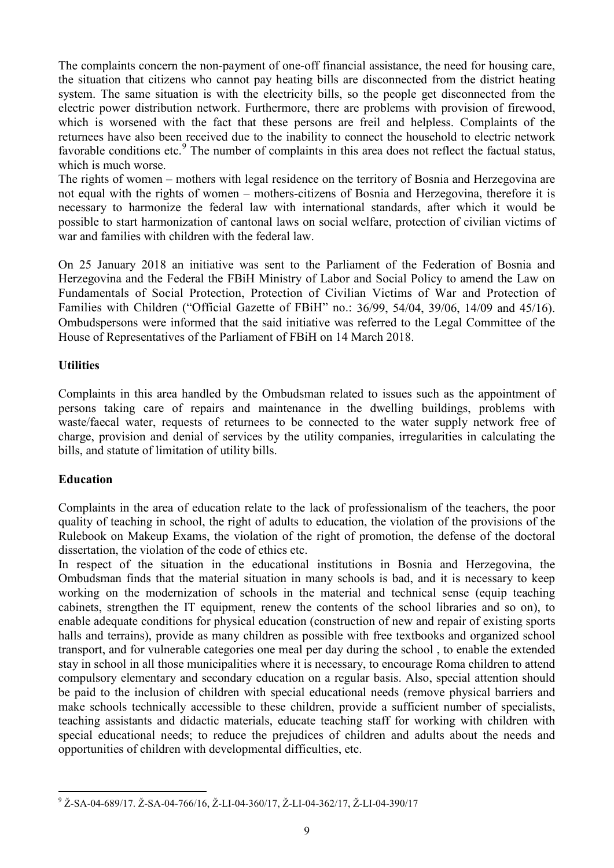The complaints concern the non-payment of one-off financial assistance, the need for housing care, the situation that citizens who cannot pay heating bills are disconnected from the district heating system. The same situation is with the electricity bills, so the people get disconnected from the electric power distribution network. Furthermore, there are problems with provision of firewood, which is worsened with the fact that these persons are freil and helpless. Complaints of the returnees have also been received due to the inability to connect the household to electric network favorable conditions etc.<sup>[9](#page-8-0)</sup> The number of complaints in this area does not reflect the factual status, which is much worse.

The rights of women – mothers with legal residence on the territory of Bosnia and Herzegovina are not equal with the rights of women – mothers-citizens of Bosnia and Herzegovina, therefore it is necessary to harmonize the federal law with international standards, after which it would be possible to start harmonization of cantonal laws on social welfare, protection of civilian victims of war and families with children with the federal law.

On 25 January 2018 an initiative was sent to the Parliament of the Federation of Bosnia and Herzegovina and the Federal the FBiH Ministry of Labor and Social Policy to amend the Law on Fundamentals of Social Protection, Protection of Civilian Victims of War and Protection of Families with Children ("Official Gazette of FBiH" no.: 36/99, 54/04, 39/06, 14/09 and 45/16). Ombudspersons were informed that the said initiative was referred to the Legal Committee of the House of Representatives of the Parliament of FBiH on 14 March 2018.

# **Utilities**

Complaints in this area handled by the Ombudsman related to issues such as the appointment of persons taking care of repairs and maintenance in the dwelling buildings, problems with waste/faecal water, requests of returnees to be connected to the water supply network free of charge, provision and denial of services by the utility companies, irregularities in calculating the bills, and statute of limitation of utility bills.

# **Education**

Complaints in the area of education relate to the lack of professionalism of the teachers, the poor quality of teaching in school, the right of adults to education, the violation of the provisions of the Rulebook on Makeup Exams, the violation of the right of promotion, the defense of the doctoral dissertation, the violation of the code of ethics etc.

In respect of the situation in the educational institutions in Bosnia and Herzegovina, the Ombudsman finds that the material situation in many schools is bad, and it is necessary to keep working on the modernization of schools in the material and technical sense (equip teaching cabinets, strengthen the IT equipment, renew the contents of the school libraries and so on), to enable adequate conditions for physical education (construction of new and repair of existing sports halls and terrains), provide as many children as possible with free textbooks and organized school transport, and for vulnerable categories one meal per day during the school , to enable the extended stay in school in all those municipalities where it is necessary, to encourage Roma children to attend compulsory elementary and secondary education on a regular basis. Also, special attention should be paid to the inclusion of children with special educational needs (remove physical barriers and make schools technically accessible to these children, provide a sufficient number of specialists, teaching assistants and didactic materials, educate teaching staff for working with children with special educational needs; to reduce the prejudices of children and adults about the needs and opportunities of children with developmental difficulties, etc.

<span id="page-8-0"></span> <sup>9</sup> <sup>Ž</sup>-SA-04-689/17. <sup>Ž</sup>-SA-04-766/16, Ž-LI-04-360/17, Ž-LI-04-362/17, Ž-LI-04-390/17